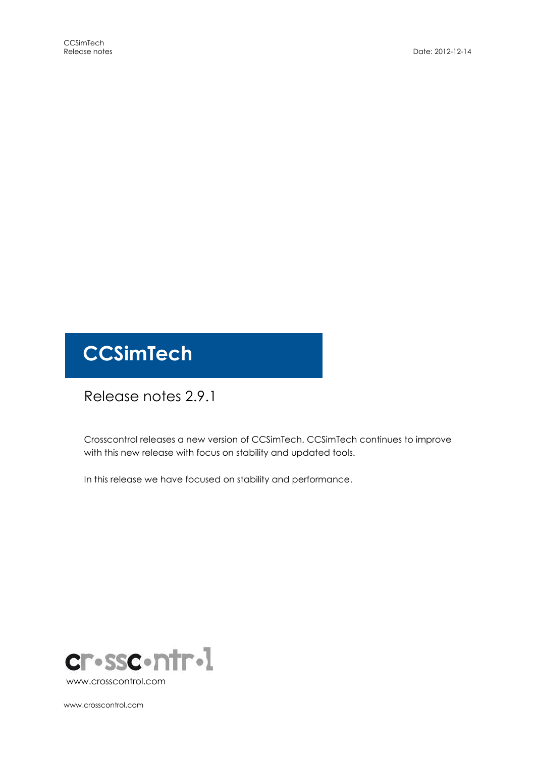# **CCSimTech**

## Release notes 2.9.1

Crosscontrol releases a new version of CCSimTech. CCSimTech continues to improve with this new release with focus on stability and updated tools.

In this release we have focused on stability and performance.



www.crosscontrol.com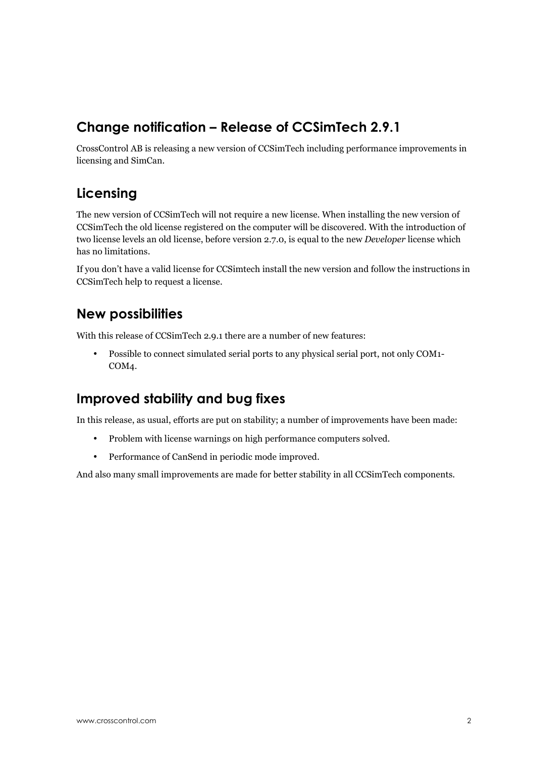## Change notification – Release of CCSimTech 2.9.1

CrossControl AB is releasing a new version of CCSimTech including performance improvements in licensing and SimCan.

## Licensing

The new version of CCSimTech will not require a new license. When installing the new version of CCSimTech the old license registered on the computer will be discovered. With the introduction of two license levels an old license, before version 2.7.0, is equal to the new Developer license which has no limitations.

If you don't have a valid license for CCSimtech install the new version and follow the instructions in CCSimTech help to request a license.

#### New possibilities

With this release of CCSimTech 2.9.1 there are a number of new features:

• Possible to connect simulated serial ports to any physical serial port, not only COM1- COM4.

## Improved stability and bug fixes

In this release, as usual, efforts are put on stability; a number of improvements have been made:

- Problem with license warnings on high performance computers solved.
- Performance of CanSend in periodic mode improved.

And also many small improvements are made for better stability in all CCSimTech components.